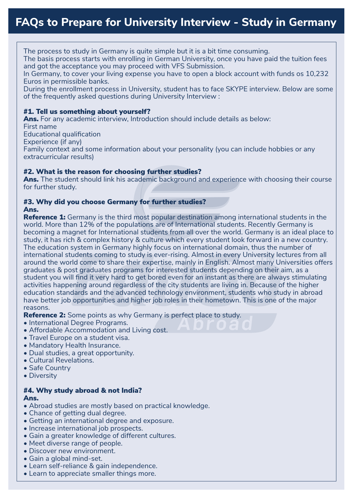The process to study in Germany is quite simple but it is a bit time consuming.

The basis process starts with enrolling in German University, once you have paid the tuition fees and got the acceptance you may proceed with VFS Submission.

In Germany, to cover your living expense you have to open a block account with funds os 10,232 Euros in permissible banks.

During the enrollment process in University, student has to face SKYPE interview. Below are some of the frequently asked questions during University Interview :

## #1. Tell us something about yourself?

Ans. For any academic interview, Introduction should include details as below: First name

Educational qualification

Experience (if any)

Family context and some information about your personality (you can include hobbies or any extracurricular results)

## #2. What is the reason for choosing further studies?

Ans. The student should link his academic background and experience with choosing their course for further study.

#### #3. Why did you choose Germany for further studies? Ans.

international students coming to study is ever-rising. Almost in every University lectures from all<br>around the world come to share their expertise, mainly in English. Almost many Universities offers **Reference 1:** Germany is the third most popular destination among international students in the world. More than 12% of the populations are of International students. Recently Germany is becoming a magnet for International students from all over the world. Germany is an ideal place to study, it has rich & complex history & culture which every student look forward in a new country. The education system in Germany highly focus on international domain, thus the number of international students coming to study is ever-rising. Almost in every University lectures from all graduates & post graduates programs for interested students depending on their aim, as a student you will find it very hard to get bored even for an instant as there are always stimulating activities happening around regardless of the city students are living in. Because of the higher education standards and the advanced technology environment, students who study in abroad have better job opportunities and higher job roles in their hometown. This is one of the major reasons.

**Reference 2:** Some points as why Germany is perfect place to study.

- International Degree Programs.
- Affordable Accommodation and Living cost.
- Travel Europe on a student visa.
- Mandatory Health Insurance.
- Dual studies, a great opportunity.
- Cultural Revelations.
- Safe Country
- Diversity

#### #4. Why study abroad & not India? Ans.

- Abroad studies are mostly based on practical knowledge.
- Chance of getting dual degree.
- Getting an international degree and exposure.
- Increase international job prospects.
- Gain a greater knowledge of different cultures.
- Meet diverse range of people.
- Discover new environment.
- Gain a global mind-set.
- Learn self-reliance & gain independence.
- Learn to appreciate smaller things more.